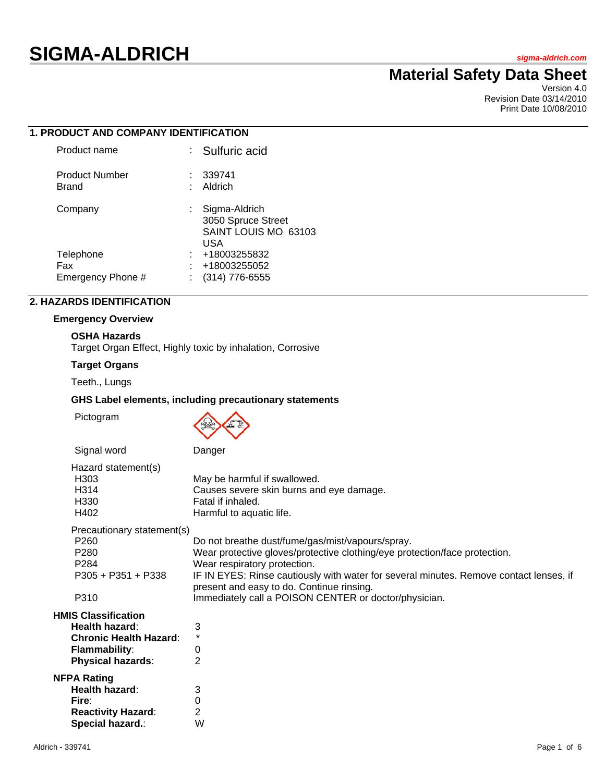# **SIGMA-ALDRICH** *sigma-aldrich.com*

# **Material Safety Data Sheet**

Version 4.0 Revision Date 03/14/2010 Print Date 10/08/2010

|  | <b>1. PRODUCT AND COMPANY IDENTIFICATION</b> |  |
|--|----------------------------------------------|--|
|  |                                              |  |

| : Sulfuric acid                                                    |
|--------------------------------------------------------------------|
| -339741<br>Aldrich                                                 |
| Sigma-Aldrich<br>3050 Spruce Street<br>SAINT LOUIS MO 63103<br>USA |
| +18003255832                                                       |
| +18003255052                                                       |
| $(314)$ 776-6555                                                   |
|                                                                    |

# **2. HAZARDS IDENTIFICATION**

#### **Emergency Overview**

# **OSHA Hazards**

Target Organ Effect, Highly toxic by inhalation, Corrosive

# **Target Organs**

Teeth., Lungs

# **GHS Label elements, including precautionary statements**

Pictogram



| Signal word                                                                                                                       | Danger                                                                                                                                                                                                                                                                                                |
|-----------------------------------------------------------------------------------------------------------------------------------|-------------------------------------------------------------------------------------------------------------------------------------------------------------------------------------------------------------------------------------------------------------------------------------------------------|
| Hazard statement(s)<br>H <sub>303</sub><br>H314<br>H330<br>H402                                                                   | May be harmful if swallowed.<br>Causes severe skin burns and eye damage.<br>Fatal if inhaled.<br>Harmful to aquatic life.                                                                                                                                                                             |
| Precautionary statement(s)<br>P <sub>260</sub><br>P <sub>280</sub><br>P <sub>284</sub><br>$P305 + P351 + P338$                    | Do not breathe dust/fume/gas/mist/vapours/spray.<br>Wear protective gloves/protective clothing/eye protection/face protection.<br>Wear respiratory protection.<br>IF IN EYES: Rinse cautiously with water for several minutes. Remove contact lenses, if<br>present and easy to do. Continue rinsing. |
| P310                                                                                                                              | Immediately call a POISON CENTER or doctor/physician.                                                                                                                                                                                                                                                 |
| <b>HMIS Classification</b><br>Health hazard:<br><b>Chronic Health Hazard:</b><br><b>Flammability:</b><br><b>Physical hazards:</b> | 3<br>$\star$<br>0<br>2                                                                                                                                                                                                                                                                                |
| <b>NFPA Rating</b><br>Health hazard:<br>Fire:<br><b>Reactivity Hazard:</b><br>Special hazard.:                                    | 3<br>$\mathbf 0$<br>$\overline{2}$<br>W                                                                                                                                                                                                                                                               |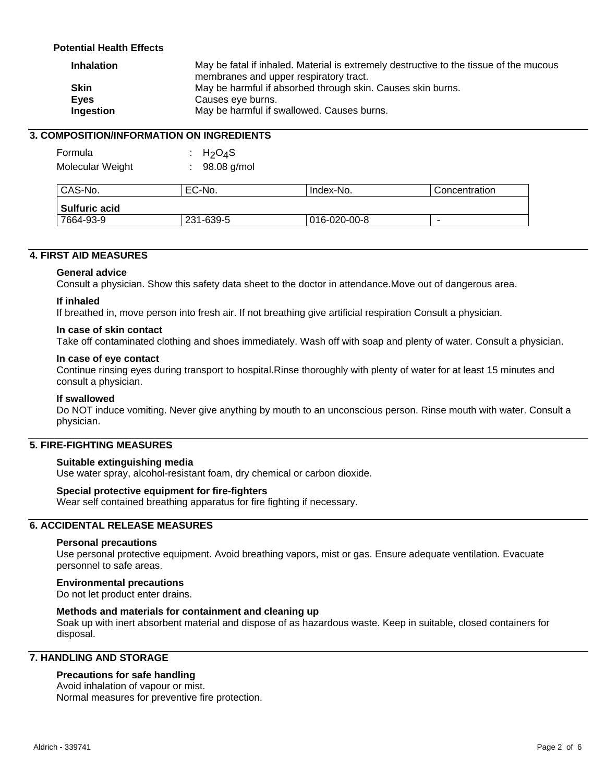# **Potential Health Effects**

| <b>Inhalation</b> | May be fatal if inhaled. Material is extremely destructive to the tissue of the mucous<br>membranes and upper respiratory tract. |
|-------------------|----------------------------------------------------------------------------------------------------------------------------------|
| <b>Skin</b>       | May be harmful if absorbed through skin. Causes skin burns.                                                                      |
| <b>Eyes</b>       | Causes eye burns.                                                                                                                |
| Ingestion         | May be harmful if swallowed. Causes burns.                                                                                       |

# **3. COMPOSITION/INFORMATION ON INGREDIENTS**

| Formula<br>Molecular Weight | : $H_2O_4S$<br>98.08 g/mol |              |               |
|-----------------------------|----------------------------|--------------|---------------|
| CAS-No.                     | EC-No.                     | Index-No.    | Concentration |
| Sulfuric acid               |                            |              |               |
| 7664-93-9                   | 231-639-5                  | 016-020-00-8 | ۰             |

#### **4. FIRST AID MEASURES**

#### **General advice**

Consult a physician. Show this safety data sheet to the doctor in attendance.Move out of dangerous area.

#### **If inhaled**

If breathed in, move person into fresh air. If not breathing give artificial respiration Consult a physician.

#### **In case of skin contact**

Take off contaminated clothing and shoes immediately. Wash off with soap and plenty of water. Consult a physician.

#### **In case of eye contact**

Continue rinsing eyes during transport to hospital.Rinse thoroughly with plenty of water for at least 15 minutes and consult a physician.

#### **If swallowed**

Do NOT induce vomiting. Never give anything by mouth to an unconscious person. Rinse mouth with water. Consult a physician.

# **5. FIRE-FIGHTING MEASURES**

#### **Suitable extinguishing media**

Use water spray, alcohol-resistant foam, dry chemical or carbon dioxide.

#### **Special protective equipment for fire-fighters**

Wear self contained breathing apparatus for fire fighting if necessary.

# **6. ACCIDENTAL RELEASE MEASURES**

#### **Personal precautions**

Use personal protective equipment. Avoid breathing vapors, mist or gas. Ensure adequate ventilation. Evacuate personnel to safe areas.

#### **Environmental precautions**

Do not let product enter drains.

#### **Methods and materials for containment and cleaning up**

Soak up with inert absorbent material and dispose of as hazardous waste. Keep in suitable, closed containers for disposal.

# **7. HANDLING AND STORAGE**

#### **Precautions for safe handling**

Avoid inhalation of vapour or mist. Normal measures for preventive fire protection.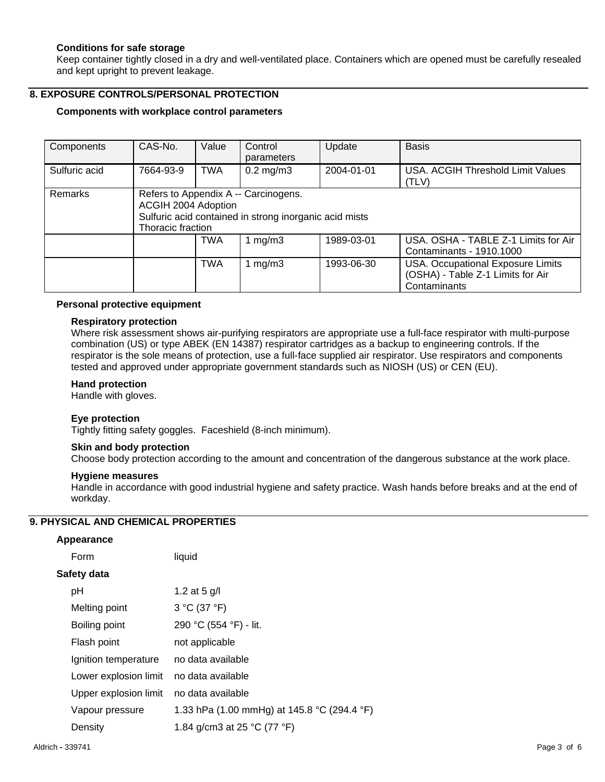#### **Conditions for safe storage**

Keep container tightly closed in a dry and well-ventilated place. Containers which are opened must be carefully resealed and kept upright to prevent leakage.

# **8. EXPOSURE CONTROLS/PERSONAL PROTECTION**

#### **Components with workplace control parameters**

| Components    | CAS-No.                                  | Value      | Control<br>parameters                                                                          | Update     | <b>Basis</b>                                                                                  |
|---------------|------------------------------------------|------------|------------------------------------------------------------------------------------------------|------------|-----------------------------------------------------------------------------------------------|
| Sulfuric acid | 7664-93-9                                | TWA        | $0.2 \text{ mg/m}$ 3                                                                           | 2004-01-01 | USA, ACGIH Threshold Limit Values<br>(TLV)                                                    |
| Remarks       | ACGIH 2004 Adoption<br>Thoracic fraction |            | Refers to Appendix A -- Carcinogens.<br>Sulfuric acid contained in strong inorganic acid mists |            |                                                                                               |
|               |                                          | <b>TWA</b> | 1 mg/m $3$                                                                                     | 1989-03-01 | USA, OSHA - TABLE Z-1 Limits for Air<br>Contaminants - 1910.1000                              |
|               |                                          | <b>TWA</b> | 1 mg/m $3$                                                                                     | 1993-06-30 | <b>USA. Occupational Exposure Limits</b><br>(OSHA) - Table Z-1 Limits for Air<br>Contaminants |

#### **Personal protective equipment**

#### **Respiratory protection**

Where risk assessment shows air-purifying respirators are appropriate use a full-face respirator with multi-purpose combination (US) or type ABEK (EN 14387) respirator cartridges as a backup to engineering controls. If the respirator is the sole means of protection, use a full-face supplied air respirator. Use respirators and components tested and approved under appropriate government standards such as NIOSH (US) or CEN (EU).

#### **Hand protection**

Handle with gloves.

#### **Eye protection**

Tightly fitting safety goggles. Faceshield (8-inch minimum).

#### **Skin and body protection**

Choose body protection according to the amount and concentration of the dangerous substance at the work place.

#### **Hygiene measures**

Handle in accordance with good industrial hygiene and safety practice. Wash hands before breaks and at the end of workday.

# **9. PHYSICAL AND CHEMICAL PROPERTIES**

#### **Appearance**

| Form                  | liquid                                      |
|-----------------------|---------------------------------------------|
| Safety data           |                                             |
| pH                    | 1.2 at 5 $g/l$                              |
| Melting point         | 3 °C (37 °F)                                |
| Boiling point         | 290 °C (554 °F) - lit.                      |
| Flash point           | not applicable                              |
| Ignition temperature  | no data available                           |
| Lower explosion limit | no data available                           |
| Upper explosion limit | no data available                           |
| Vapour pressure       | 1.33 hPa (1.00 mmHg) at 145.8 °C (294.4 °F) |
| Density               | 1.84 g/cm3 at 25 °C (77 °F)                 |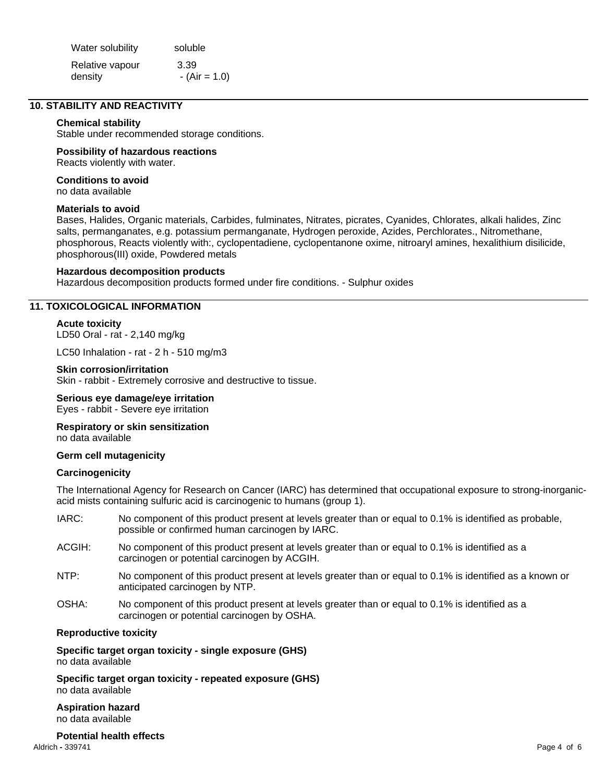| Water solubility | soluble        |
|------------------|----------------|
| Relative vapour  | 3.39           |
| density          | $-(Air = 1.0)$ |

# **10. STABILITY AND REACTIVITY**

#### **Chemical stability**

Stable under recommended storage conditions.

# **Possibility of hazardous reactions**

Reacts violently with water.

# **Conditions to avoid**

no data available

## **Materials to avoid**

Bases, Halides, Organic materials, Carbides, fulminates, Nitrates, picrates, Cyanides, Chlorates, alkali halides, Zinc salts, permanganates, e.g. potassium permanganate, Hydrogen peroxide, Azides, Perchlorates., Nitromethane, phosphorous, Reacts violently with:, cyclopentadiene, cyclopentanone oxime, nitroaryl amines, hexalithium disilicide, phosphorous(III) oxide, Powdered metals

#### **Hazardous decomposition products**

Hazardous decomposition products formed under fire conditions. - Sulphur oxides

# **11. TOXICOLOGICAL INFORMATION**

#### **Acute toxicity**

LD50 Oral - rat - 2,140 mg/kg

LC50 Inhalation - rat - 2 h - 510 mg/m3

#### **Skin corrosion/irritation**

Skin - rabbit - Extremely corrosive and destructive to tissue.

# **Serious eye damage/eye irritation**

Eyes - rabbit - Severe eye irritation

#### **Respiratory or skin sensitization**  no data available

#### **Germ cell mutagenicity**

#### **Carcinogenicity**

The International Agency for Research on Cancer (IARC) has determined that occupational exposure to strong-inorganicacid mists containing sulfuric acid is carcinogenic to humans (group 1).

- IARC: No component of this product present at levels greater than or equal to 0.1% is identified as probable, possible or confirmed human carcinogen by IARC.
- ACGIH: No component of this product present at levels greater than or equal to 0.1% is identified as a carcinogen or potential carcinogen by ACGIH.
- NTP: No component of this product present at levels greater than or equal to 0.1% is identified as a known or anticipated carcinogen by NTP.
- OSHA: No component of this product present at levels greater than or equal to 0.1% is identified as a carcinogen or potential carcinogen by OSHA.

#### **Reproductive toxicity**

**Specific target organ toxicity - single exposure (GHS)**  no data available

**Specific target organ toxicity - repeated exposure (GHS)**  no data available

**Aspiration hazard**  no data available

Aldrich **-** 339741 Page 4 of 6 **Potential health effects**<br>Aldrich - 339741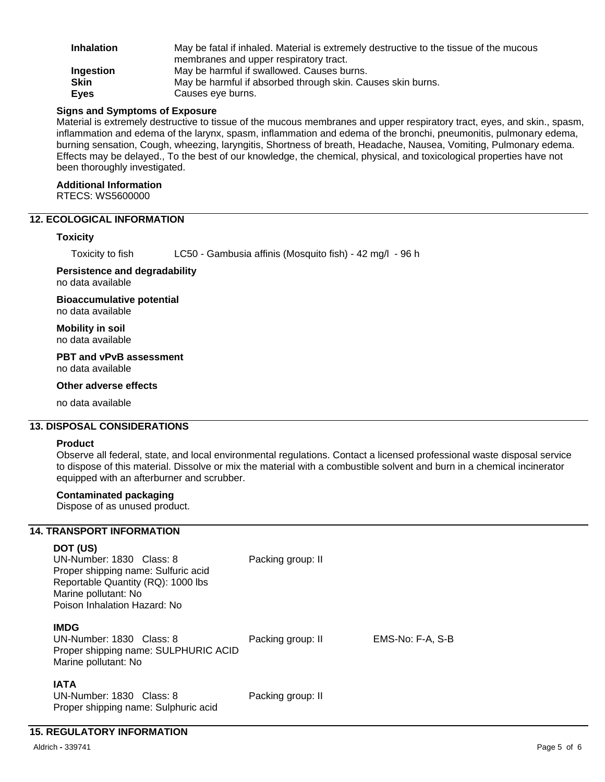| <b>Inhalation</b> | May be fatal if inhaled. Material is extremely destructive to the tissue of the mucous |
|-------------------|----------------------------------------------------------------------------------------|
|                   | membranes and upper respiratory tract.                                                 |
| Ingestion         | May be harmful if swallowed. Causes burns.                                             |
| <b>Skin</b>       | May be harmful if absorbed through skin. Causes skin burns.                            |
| <b>Eyes</b>       | Causes eye burns.                                                                      |

#### **Signs and Symptoms of Exposure**

Material is extremely destructive to tissue of the mucous membranes and upper respiratory tract, eyes, and skin., spasm, inflammation and edema of the larynx, spasm, inflammation and edema of the bronchi, pneumonitis, pulmonary edema, burning sensation, Cough, wheezing, laryngitis, Shortness of breath, Headache, Nausea, Vomiting, Pulmonary edema. Effects may be delayed., To the best of our knowledge, the chemical, physical, and toxicological properties have not been thoroughly investigated.

#### **Additional Information**

RTECS: WS5600000

# **12. ECOLOGICAL INFORMATION**

#### **Toxicity**

Toxicity to fish LC50 - Gambusia affinis (Mosquito fish) - 42 mg/l - 96 h

#### **Persistence and degradability**  no data available

**Bioaccumulative potential**  no data available

**Mobility in soil**  no data available

**PBT and vPvB assessment**  no data available

#### **Other adverse effects**

no data available

# **13. DISPOSAL CONSIDERATIONS**

#### **Product**

Observe all federal, state, and local environmental regulations. Contact a licensed professional waste disposal service to dispose of this material. Dissolve or mix the material with a combustible solvent and burn in a chemical incinerator equipped with an afterburner and scrubber.

#### **Contaminated packaging**

Dispose of as unused product.

#### **14. TRANSPORT INFORMATION**

# **DOT (US)**

| UN-Number: 1830 Class: 8<br>Proper shipping name: Sulfuric acid<br>Reportable Quantity (RQ): 1000 lbs<br>Marine pollutant: No<br>Poison Inhalation Hazard: No | Packing group: II |                  |
|---------------------------------------------------------------------------------------------------------------------------------------------------------------|-------------------|------------------|
| <b>IMDG</b><br>UN-Number: 1830 Class: 8<br>Proper shipping name: SULPHURIC ACID<br>Marine pollutant: No                                                       | Packing group: II | EMS-No: F-A, S-B |
| <b>IATA</b><br>UN-Number: 1830 Class: 8<br>Proper shipping name: Sulphuric acid                                                                               | Packing group: II |                  |